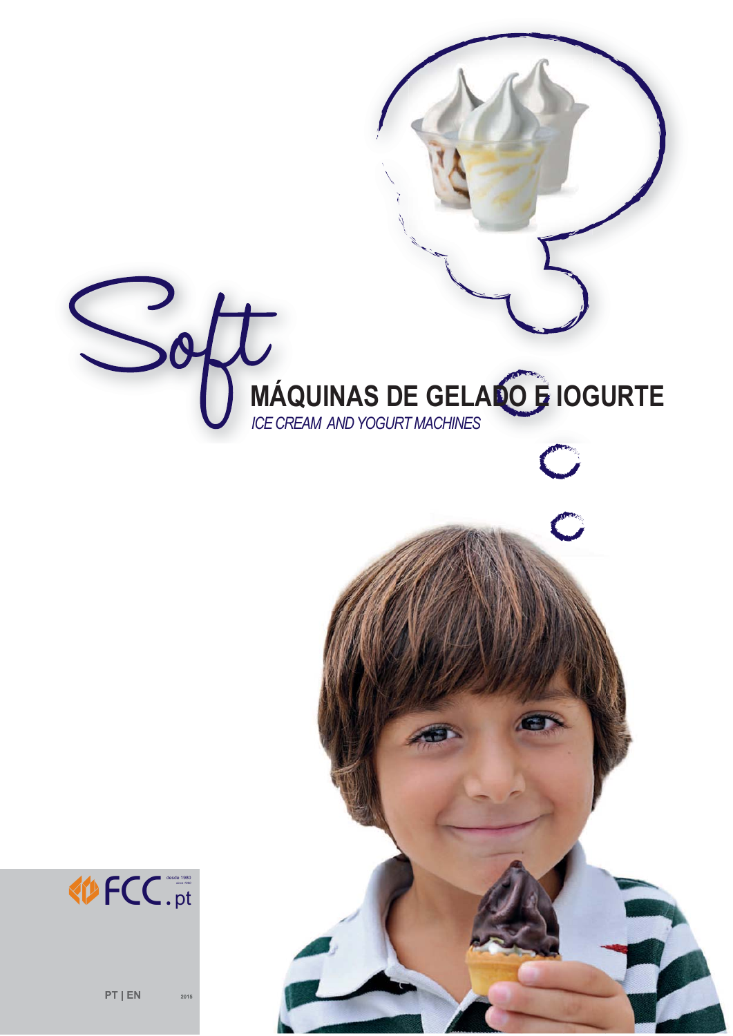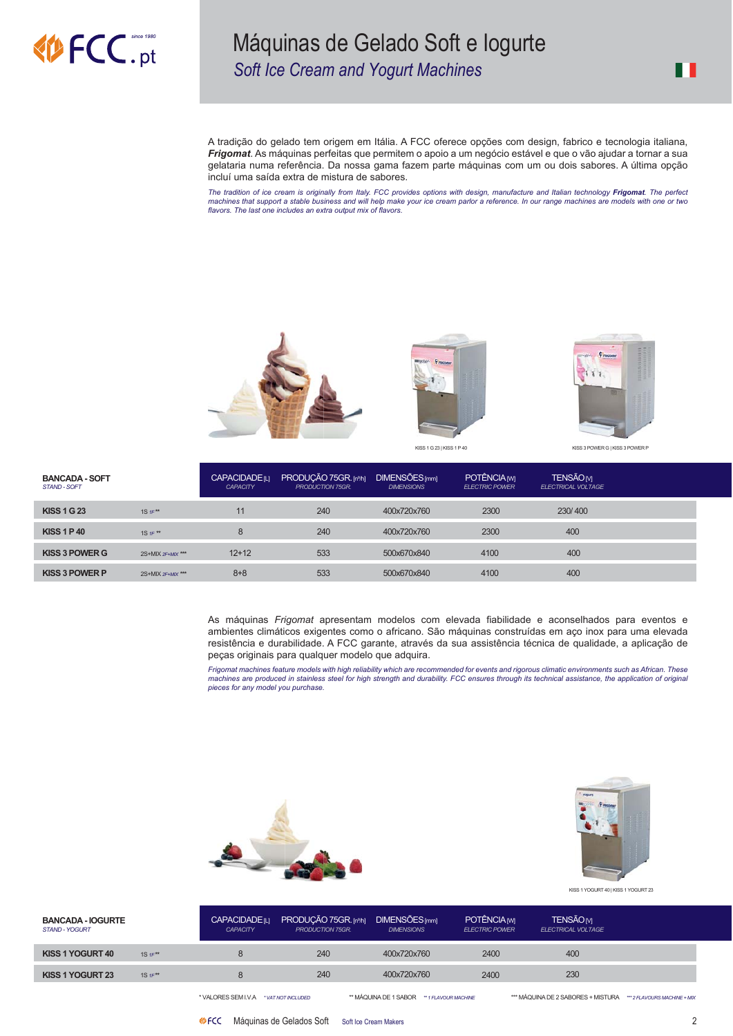# **ECC.pt**

#### Máquinas de Gelado Soft e logurte Soft Ice Cream and Yogurt Machines

A tradição do gelado tem origem em Itália. A FCC oferece opções com design, fabrico e tecnologia italiana, Frigomat. As máquinas perfeitas que permitem o apoio a um negócio estável e que o vão ajudar a tornar a sua gelataria numa referência. Da nossa gama fazem parte máquinas com um ou dois sabores. A última opção incluí uma saída extra de mistura de sabores.

The tradition of ice cream is originally from Italy. FCC provides options with design, manufacture and Italian technology **Frigomat**. The perfect<br>machines that support a stable business and will help make your ice cream pa flavors. The last one includes an extra output mix of flavors.





KISS 1 G 23 | KISS 1 P 40



| <b>BANCADA - SOFT</b><br><b>STAND - SOFT</b> |                      | <b>CAPACIDADE</b> <sub>ILI</sub><br>CAPACITY | PRODUÇÃO 75GR. [nº/h]<br><b>PRODUCTION 75GR.</b> | <b>DIMENSÕES</b> [mm]<br><b>DIMENSIONS</b> | <b>POTÊNCIAM</b><br><b>ELECTRIC POWER</b> | <b>TENSÃOM</b><br><b>ELECTRICAL VOLTAGE</b> |  |
|----------------------------------------------|----------------------|----------------------------------------------|--------------------------------------------------|--------------------------------------------|-------------------------------------------|---------------------------------------------|--|
| <b>KISS 1 G 23</b>                           | 1S $1F^{\star\star}$ | 11                                           | 240                                              | 400x720x760                                | 2300                                      | 230/400                                     |  |
| <b>KISS 1 P 40</b>                           | 1S $1F \star\star$   | 8                                            | 240                                              | 400x720x760                                | 2300                                      | 400                                         |  |
| <b>KISS 3 POWER G</b>                        | $2S+MIX 2F+MIX$      | $12+12$                                      | 533                                              | 500x670x840                                | 4100                                      | 400                                         |  |
| <b>KISS 3 POWER P</b>                        | 2S+MIX 2F+MIX ***    | $8 + 8$                                      | 533                                              | 500x670x840                                | 4100                                      | 400                                         |  |

As máquinas Frigomat apresentam modelos com elevada fiabilidade e aconselhados para eventos e ambientes climáticos exigentes como o africano. São máquinas construídas em aço inox para uma elevada resistência e durabilidade. A FCC garante, através da sua assistência técnica de qualidade, a aplicação de peças originais para qualquer modelo que adquira.

Frigomat machines feature models with high reliability which are recommended for events and rigorous climatic environments such as African. These machines are produced in stainless steel for high strength and durability. FCC ensures through its technical assistance, the application of original pieces for any model you purchase.





KISS 1 YOGURT 40 | KISS 1 YOGURT 23

| <b>BANCADA - IOGURTE</b><br><b>STAND - YOGURT</b> | <b>CAPACIDADE</b> <sub>ILI</sub><br><b>CAPACITY</b> | PRODUÇÃO 75GR. [nº/h]<br><b>PRODUCTION 75GR.</b> | <b>DIMENSÕES</b> [mm]<br><b>DIMENSIONS</b> | POTÊNCIA <sub>M</sub><br><b>ELECTRIC POWER</b> | <b>TENSÃOM</b><br><b>ELECTRICAL VOLTAGE</b> |  |
|---------------------------------------------------|-----------------------------------------------------|--------------------------------------------------|--------------------------------------------|------------------------------------------------|---------------------------------------------|--|
| KISS 1 YOGURT 40<br>1S $1F^*$                     |                                                     | 240                                              | 400x720x760                                | 2400                                           | 400                                         |  |
| KISS 1 YOGURT 23<br>1S $1F^*$                     |                                                     | 240                                              | 400x720x760                                | 2400                                           | 230                                         |  |

\*\* MÁQUINA DE 1 SABOR \*\* 1 FLAVOUR MACHINE

\*VALORES SEM I.V.A \*vaTNOTINCLUDED

I

\*\*\* MÁQUINA DE 2 SABORES + MISTURA \*\*\* 2 FLAVOURS MACHINE + MIX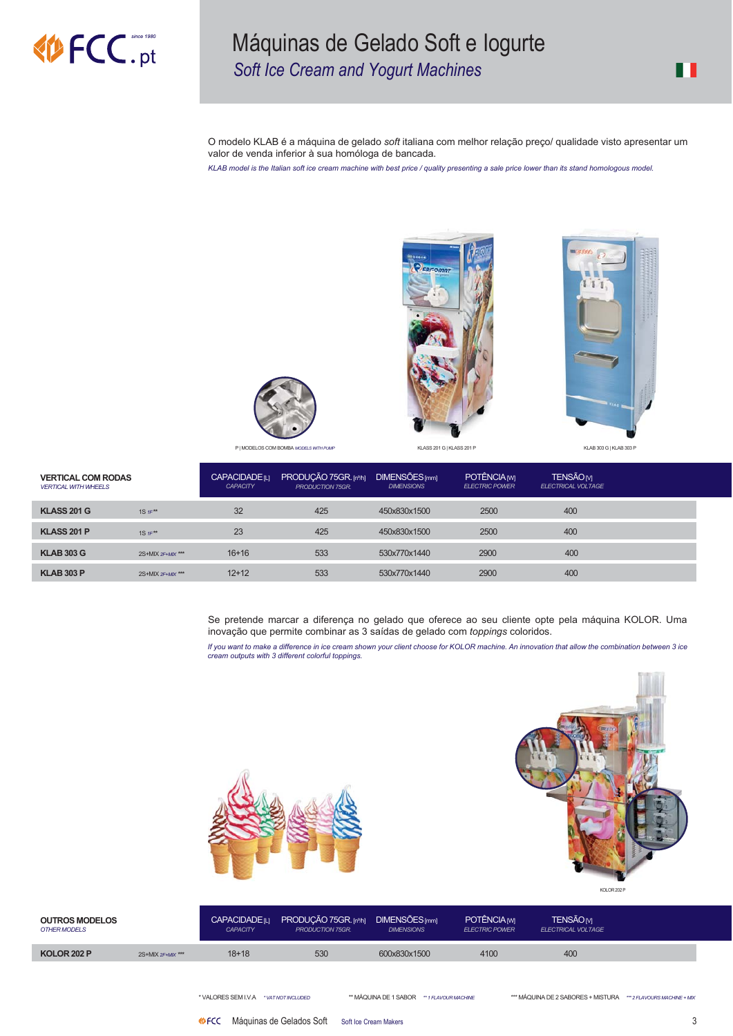# **MAFCC**.pt

### Máquinas de Gelado Soft e logurte Soft Ice Cream and Yogurt Machines

O modelo KLAB é a máquina de gelado soft italiana com melhor relação preço/ qualidade visto apresentar um valor de venda inferior à sua homóloga de bancada.

KLAB model is the Italian soft ice cream machine with best price / quality presenting a sale price lower than its stand homologous model.







P | MODELOS COM BOMBA MODELS WITH PL

KLASS 201 G | KLASS 201 P

KLAB 303 G | KLAB 303 P

| <b>VERTICAL COM RODAS</b><br><b>VERTICAL WITH WHEELS</b> |                      | <b>CAPACIDADE</b> <sub>ILI</sub><br><b>CAPACITY</b> | PRODUÇÃO 75GR. [nº/h]<br><b>PRODUCTION 75GR</b> | DIMENSÕES <sub>[mm]</sub><br><b>DIMENSIONS</b> | POTÊNCIA <sub>M</sub><br><b>ELECTRIC POWER</b> | <b>TENSÃOM</b><br><b>ELECTRICAL VOLTAGE</b> |  |
|----------------------------------------------------------|----------------------|-----------------------------------------------------|-------------------------------------------------|------------------------------------------------|------------------------------------------------|---------------------------------------------|--|
| <b>KLASS 201 G</b>                                       | 1S $1F^{\star\star}$ | 32                                                  | 425                                             | 450x830x1500                                   | 2500                                           | 400                                         |  |
| KLASS 201 P                                              | 1S $1F^{\star\star}$ | 23                                                  | 425                                             | 450x830x1500                                   | 2500                                           | 400                                         |  |
| <b>KLAB 303 G</b>                                        | 2S+MIX 2F+MIX ***    | $16+16$                                             | 533                                             | 530x770x1440                                   | 2900                                           | 400                                         |  |
| <b>KLAB 303 P</b>                                        | 2S+MIX 2F+MIX ***    | $12+12$                                             | 533                                             | 530x770x1440                                   | 2900                                           | 400                                         |  |

Se pretende marcar a diferença no gelado que oferece ao seu cliente opte pela máquina KOLOR. Uma inovação que permite combinar as 3 saídas de gelado com toppings coloridos.

If you want to make a difference in ice cream shown your client choose for KOLOR machine. An innovation that allow the combination between 3 ice<br>cream outputs with 3 different colorful toppings.



*ED* FCC Máquinas de Gelados Soft Soft lce Cream Makers



KOLOR 202 P

| <b>OUTROS MODELOS</b><br><b>OTHER MODELS</b> |                 | <b>CAPACIDADE</b> ILI<br><b>CAPACITY</b> | PRODUCÃO 75GR. [nº/h] DIMENSÕES [mm]<br><b>PRODUCTION 75GR.</b> | <b>DIMENSIONS</b> | POTÊNCIA <sub>M</sub><br><b>ELECTRIC POWER</b> | <b>TENSÃOM</b><br><b>ELECTRICAL VOLTAGE</b> |  |
|----------------------------------------------|-----------------|------------------------------------------|-----------------------------------------------------------------|-------------------|------------------------------------------------|---------------------------------------------|--|
| KOLOR 202 P                                  | $2S+MIX 2F+MIX$ | $18 + 18$                                | 530                                                             | 600x830x1500      | 4100                                           | 400                                         |  |

\*VALORES SEM I.V.A \*vaTNOTINCLUDED